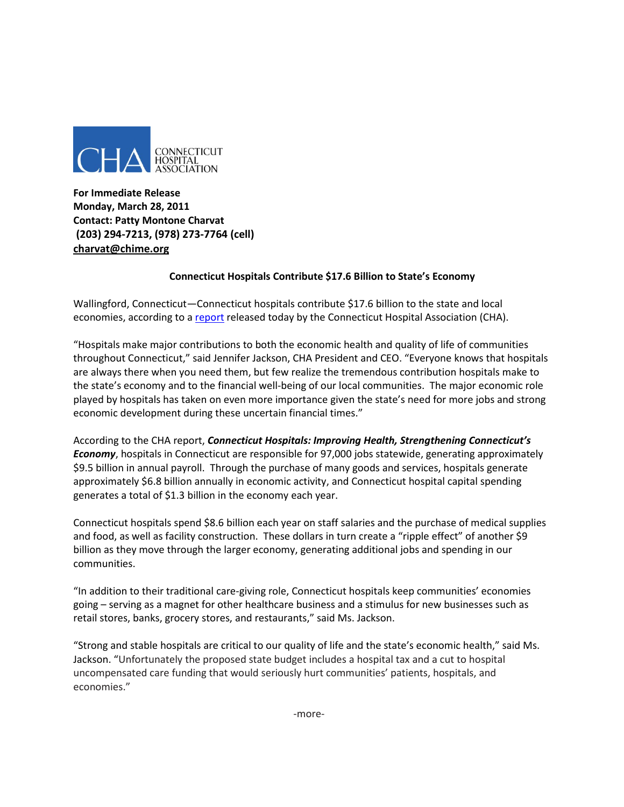

**For Immediate Release Monday, March 28, 2011 Contact: Patty Montone Charvat (203) 294-7213, (978) 273-7764 (cell) charvat@chime.org**

## **Connecticut Hospitals Contribute \$17.6 Billion to State's Economy**

Wallingford, Connecticut—Connecticut hospitals contribute \$17.6 billion to the state and local economies, according to [a report](http://www.cthosp.org/9/EcoBen2011.pdf) released today by the Connecticut Hospital Association (CHA).

"Hospitals make major contributions to both the economic health and quality of life of communities throughout Connecticut," said Jennifer Jackson, CHA President and CEO. "Everyone knows that hospitals are always there when you need them, but few realize the tremendous contribution hospitals make to the state's economy and to the financial well-being of our local communities. The major economic role played by hospitals has taken on even more importance given the state's need for more jobs and strong economic development during these uncertain financial times."

According to the CHA report, *Connecticut Hospitals: Improving Health, Strengthening Connecticut's Economy*, hospitals in Connecticut are responsible for 97,000 jobs statewide, generating approximately \$9.5 billion in annual payroll. Through the purchase of many goods and services, hospitals generate approximately \$6.8 billion annually in economic activity, and Connecticut hospital capital spending generates a total of \$1.3 billion in the economy each year.

Connecticut hospitals spend \$8.6 billion each year on staff salaries and the purchase of medical supplies and food, as well as facility construction. These dollars in turn create a "ripple effect" of another \$9 billion as they move through the larger economy, generating additional jobs and spending in our communities.

"In addition to their traditional care-giving role, Connecticut hospitals keep communities' economies going – serving as a magnet for other healthcare business and a stimulus for new businesses such as retail stores, banks, grocery stores, and restaurants," said Ms. Jackson.

"Strong and stable hospitals are critical to our quality of life and the state's economic health," said Ms. Jackson. "Unfortunately the proposed state budget includes a hospital tax and a cut to hospital uncompensated care funding that would seriously hurt communities' patients, hospitals, and economies."